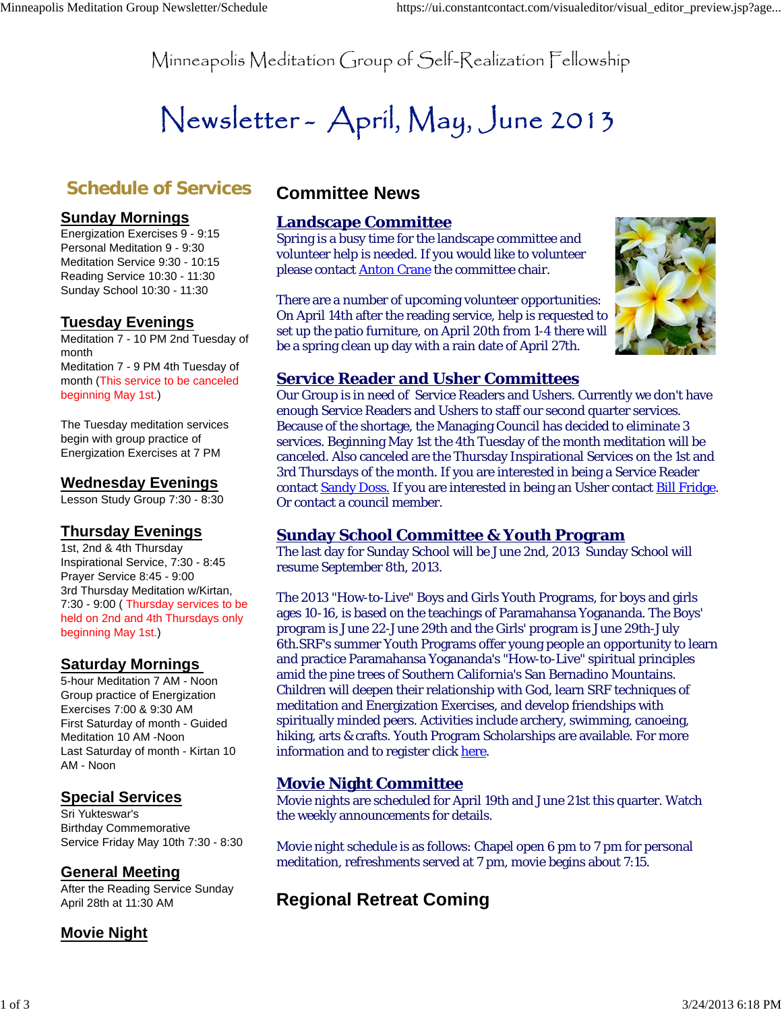# Newsletter- April, May, June 2013

# **Schedule of Services**

#### **Sunday Mornings**

Energization Exercises 9 - 9:15 Personal Meditation 9 - 9:30 Meditation Service 9:30 - 10:15 Reading Service 10:30 - 11:30 Sunday School 10:30 - 11:30

#### **Tuesday Evenings**

Meditation 7 - 10 PM 2nd Tuesday of month Meditation 7 - 9 PM 4th Tuesday of month (This service to be canceled beginning May 1st.)

The Tuesday meditation services begin with group practice of Energization Exercises at 7 PM

#### **Wednesday Evenings**

Lesson Study Group 7:30 - 8:30

#### **Thursday Evenings**

1st, 2nd & 4th Thursday Inspirational Service, 7:30 - 8:45 Prayer Service 8:45 - 9:00 3rd Thursday Meditation w/Kirtan, 7:30 - 9:00 ( Thursday services to be held on 2nd and 4th Thursdays only beginning May 1st.)

#### **Saturday Mornings**

5-hour Meditation 7 AM - Noon Group practice of Energization Exercises 7:00 & 9:30 AM First Saturday of month - Guided Meditation 10 AM -Noon Last Saturday of month - Kirtan 10 AM - Noon

#### **Special Services**

Sri Yukteswar's Birthday Commemorative Service Friday May 10th 7:30 - 8:30

#### **General Meeting**

After the Reading Service Sunday April 28th at 11:30 AM

## **Committee News**

#### **Landscape Committee**

Spring is a busy time for the landscape committee and volunteer help is needed. If you would like to volunteer please contact Anton Crane the committee chair.

There are a number of upcoming volunteer opportunities: On April 14th after the reading service, help is requested to set up the patio furniture, on April 20th from 1-4 there will be a spring clean up day with a rain date of April 27th.



#### **Service Reader and Usher Committees**

Our Group is in need of Service Readers and Ushers. Currently we don't have enough Service Readers and Ushers to staff our second quarter services. Because of the shortage, the Managing Council has decided to eliminate 3 services. Beginning May 1st the 4th Tuesday of the month meditation will be canceled. Also canceled are the Thursday Inspirational Services on the 1st and 3rd Thursdays of the month. If you are interested in being a Service Reader contact Sandy Doss. If you are interested in being an Usher contact Bill Fridge. Or contact a council member.

#### **Sunday School Committee & Youth Program**

The last day for Sunday School will be June 2nd, 2013 Sunday School will resume September 8th, 2013.

The 2013 "How-to-Live" Boys and Girls Youth Programs, for boys and girls ages 10-16, is based on the teachings of Paramahansa Yogananda. The Boys' program is June 22-June 29th and the Girls' program is June 29th-July 6th.SRF's summer Youth Programs offer young people an opportunity to learn and practice Paramahansa Yogananda's "How-to-Live" spiritual principles amid the pine trees of Southern California's San Bernadino Mountains. Children will deepen their relationship with God, learn SRF techniques of meditation and Energization Exercises, and develop friendships with spiritually minded peers. Activities include archery, swimming, canoeing, hiking, arts & crafts. Youth Program Scholarships are available. For more information and to register click here.

#### **Movie Night Committee**

Movie nights are scheduled for April 19th and June 21st this quarter. Watch the weekly announcements for details.

Movie night schedule is as follows: Chapel open 6 pm to 7 pm for personal meditation, refreshments served at 7 pm, movie begins about 7:15.

# **Regional Retreat Coming**

**Movie Night**